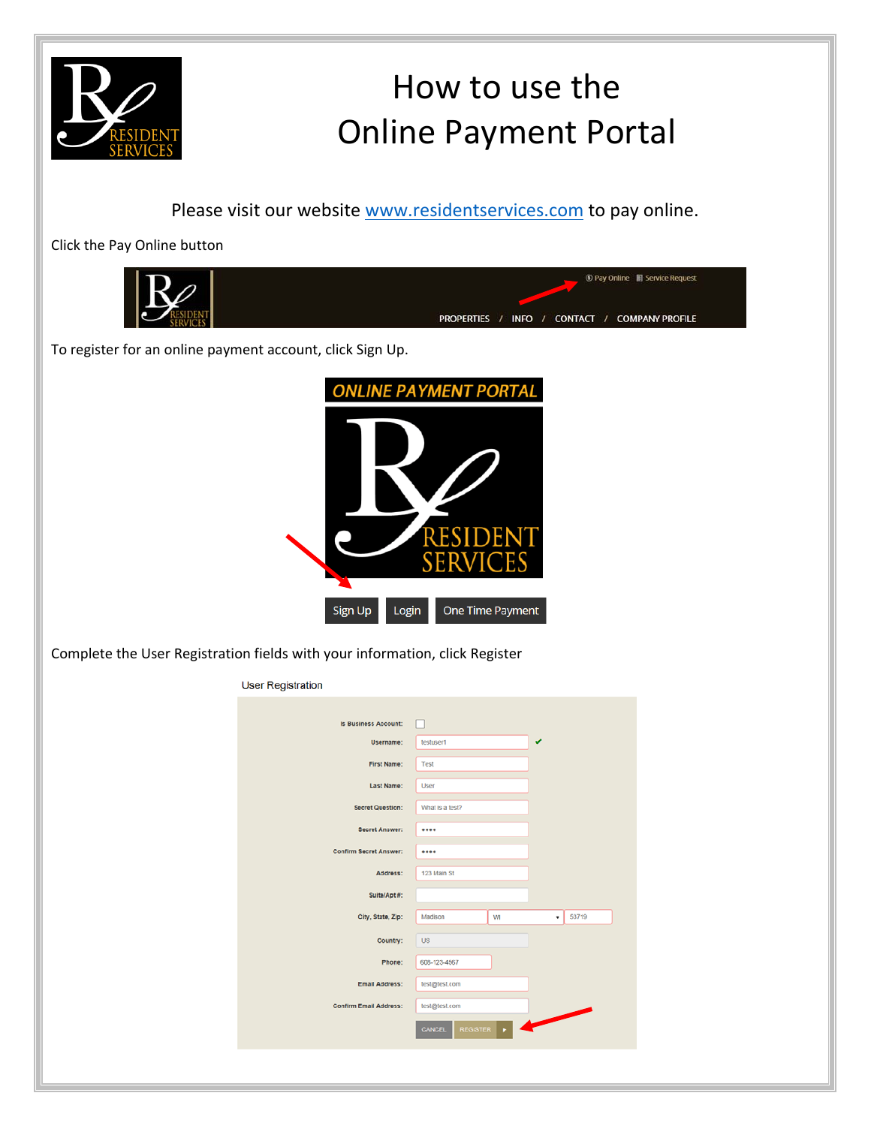

## How to use the Online Payment Portal

Please visit our website www.residentservices.com to pay online.

Click the Pay Online button

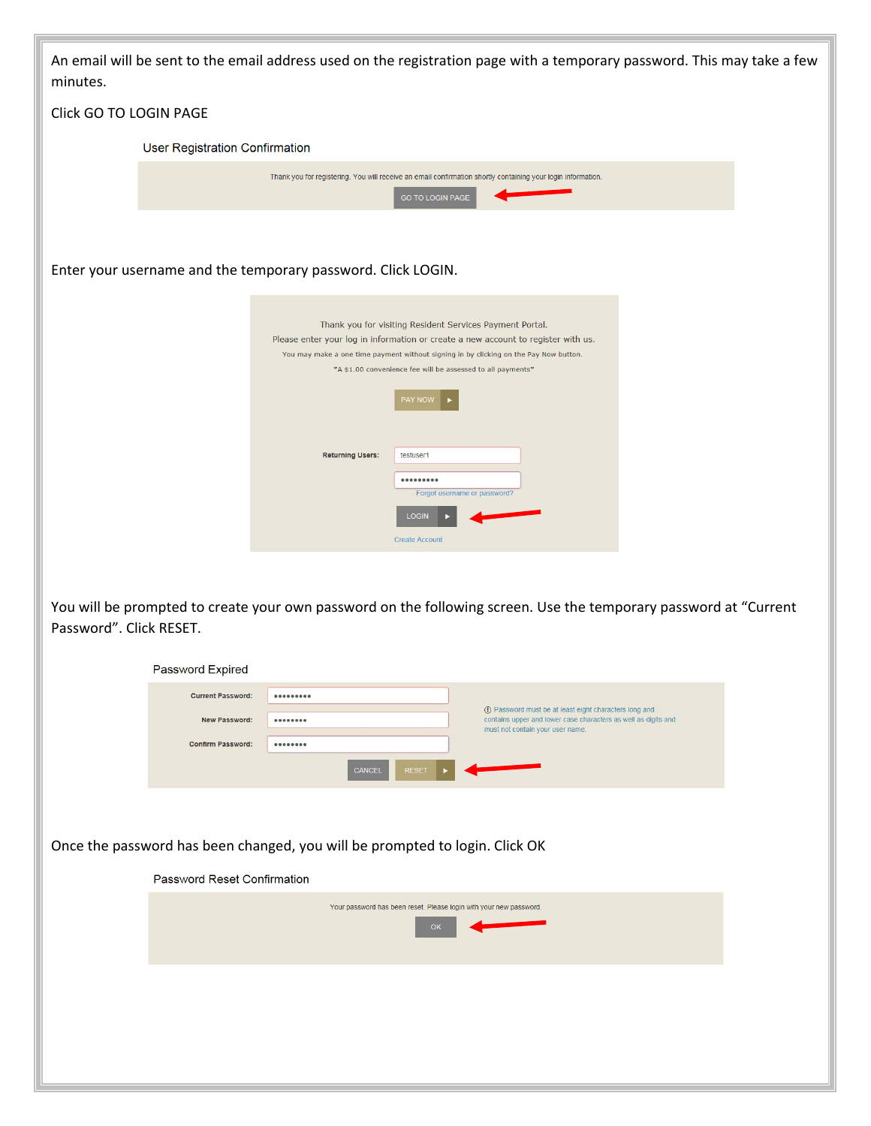| minutes.                | An email will be sent to the email address used on the registration page with a temporary password. This may take a few                                                                                                                                                                                                                                                                                                                                  |  |
|-------------------------|----------------------------------------------------------------------------------------------------------------------------------------------------------------------------------------------------------------------------------------------------------------------------------------------------------------------------------------------------------------------------------------------------------------------------------------------------------|--|
| Click GO TO LOGIN PAGE  |                                                                                                                                                                                                                                                                                                                                                                                                                                                          |  |
|                         | User Registration Confirmation                                                                                                                                                                                                                                                                                                                                                                                                                           |  |
|                         | Thank you for registering. You will receive an email confirmation shortly containing your login information.<br><b>GO TO LOGIN PAGE</b>                                                                                                                                                                                                                                                                                                                  |  |
|                         | Enter your username and the temporary password. Click LOGIN.                                                                                                                                                                                                                                                                                                                                                                                             |  |
|                         | Thank you for visiting Resident Services Payment Portal.<br>Please enter your log in information or create a new account to register with us.<br>You may make a one time payment without signing in by clicking on the Pay Now button.<br>*A \$1.00 convenience fee will be assessed to all payments*<br><b>PAY NOW</b><br><b>Returning Users:</b><br>testuser1<br>$0000000000$<br>Forgot username or password?<br><b>LOGIN</b><br><b>Create Account</b> |  |
| Password". Click RESET. | You will be prompted to create your own password on the following screen. Use the temporary password at "Current                                                                                                                                                                                                                                                                                                                                         |  |
|                         | Password Expired<br>                                                                                                                                                                                                                                                                                                                                                                                                                                     |  |
|                         | <b>Current Password:</b><br>1 Password must be at least eight characters long and<br>contains upper and lower case characters as well as digits and<br>New Password:<br>                                                                                                                                                                                                                                                                                 |  |
|                         | must not contain your user name.<br><b>Confirm Password:</b><br>                                                                                                                                                                                                                                                                                                                                                                                         |  |
|                         | CANCEL<br><b>RESET</b>                                                                                                                                                                                                                                                                                                                                                                                                                                   |  |
|                         | Once the password has been changed, you will be prompted to login. Click OK                                                                                                                                                                                                                                                                                                                                                                              |  |
|                         | Password Reset Confirmation                                                                                                                                                                                                                                                                                                                                                                                                                              |  |
|                         | Your password has been reset. Please login with your new password.<br>OK                                                                                                                                                                                                                                                                                                                                                                                 |  |
|                         |                                                                                                                                                                                                                                                                                                                                                                                                                                                          |  |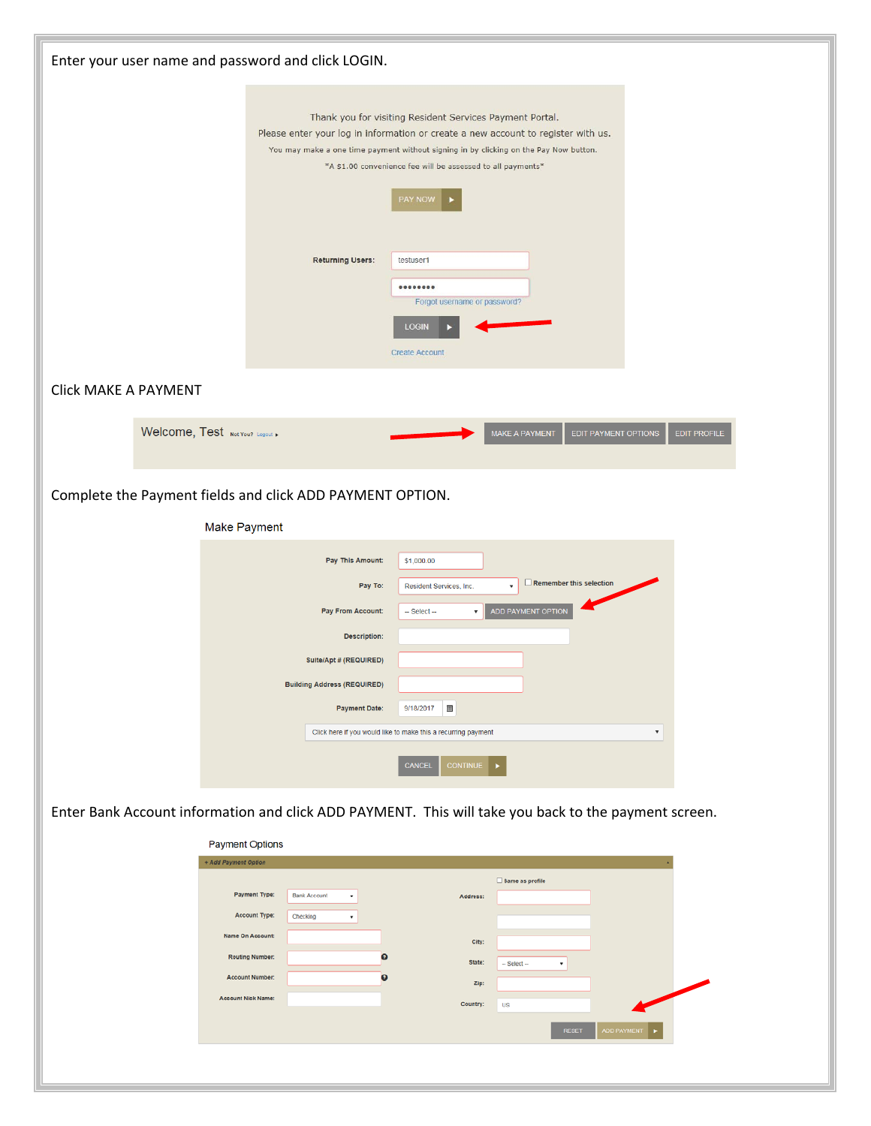| Enter your user name and password and click LOGIN. |                                                                                                                                                                                                                                                                                                                                                                                                                         |
|----------------------------------------------------|-------------------------------------------------------------------------------------------------------------------------------------------------------------------------------------------------------------------------------------------------------------------------------------------------------------------------------------------------------------------------------------------------------------------------|
|                                                    | Thank you for visiting Resident Services Payment Portal.<br>Please enter your log in information or create a new account to register with us.<br>You may make a one time payment without signing in by clicking on the Pay Now button.<br>*A \$1.00 convenience fee will be assessed to all payments*<br>PAY NOW                                                                                                        |
|                                                    | <b>Returning Users:</b><br>testuser1<br>$0 0 0 0 0 0 0 0 0$<br>Forgot username or password?<br><b>LOGIN</b><br><b>Create Account</b>                                                                                                                                                                                                                                                                                    |
| <b>Click MAKE A PAYMENT</b>                        |                                                                                                                                                                                                                                                                                                                                                                                                                         |
| Welcome, Test Not You? Logout                      | <b>MAKE A PAYMENT</b><br><b>EDIT PAYMENT OPTIONS</b><br><b>EDIT PROFILE</b>                                                                                                                                                                                                                                                                                                                                             |
|                                                    | Complete the Payment fields and click ADD PAYMENT OPTION.<br>Make Payment                                                                                                                                                                                                                                                                                                                                               |
|                                                    | \$1,000.00<br>Pay This Amount:<br>Remember this selection<br>Pay To:<br>Resident Services, Inc.<br>$\mathbf{v}$<br>ADD PAYMENT OPTION<br>Pay From Account:<br>-- Select --<br>Description:<br>Suite/Apt # (REQUIRED)<br><b>Building Address (REQUIRED)</b><br>9/18/2017 圓<br><b>Payment Date:</b><br>Click here if you would like to make this a recurring payment<br>$\boldsymbol{\mathrm{v}}$<br>CONTINUE  <br>CANCEL |
|                                                    | Enter Bank Account information and click ADD PAYMENT. This will take you back to the payment screen.                                                                                                                                                                                                                                                                                                                    |
| + Add Payment Option                               | <b>Payment Options</b><br>Same as profile<br>Payment Type:<br><b>Bank Account</b><br>Address:<br>$\pmb{\mathrm{v}}$<br><b>Account Type:</b><br>Checking<br>$\pmb{\mathrm{v}}$<br>Name On Account:<br>City:<br><b>Routing Number:</b><br>$\Omega$<br>State:<br>- Select --<br>$\bullet$<br><b>Account Number:</b><br>Zip:<br><b>Account Nick Name:</b><br>Country:<br><b>US</b><br><b>RESET</b><br>ADD PAYMENT           |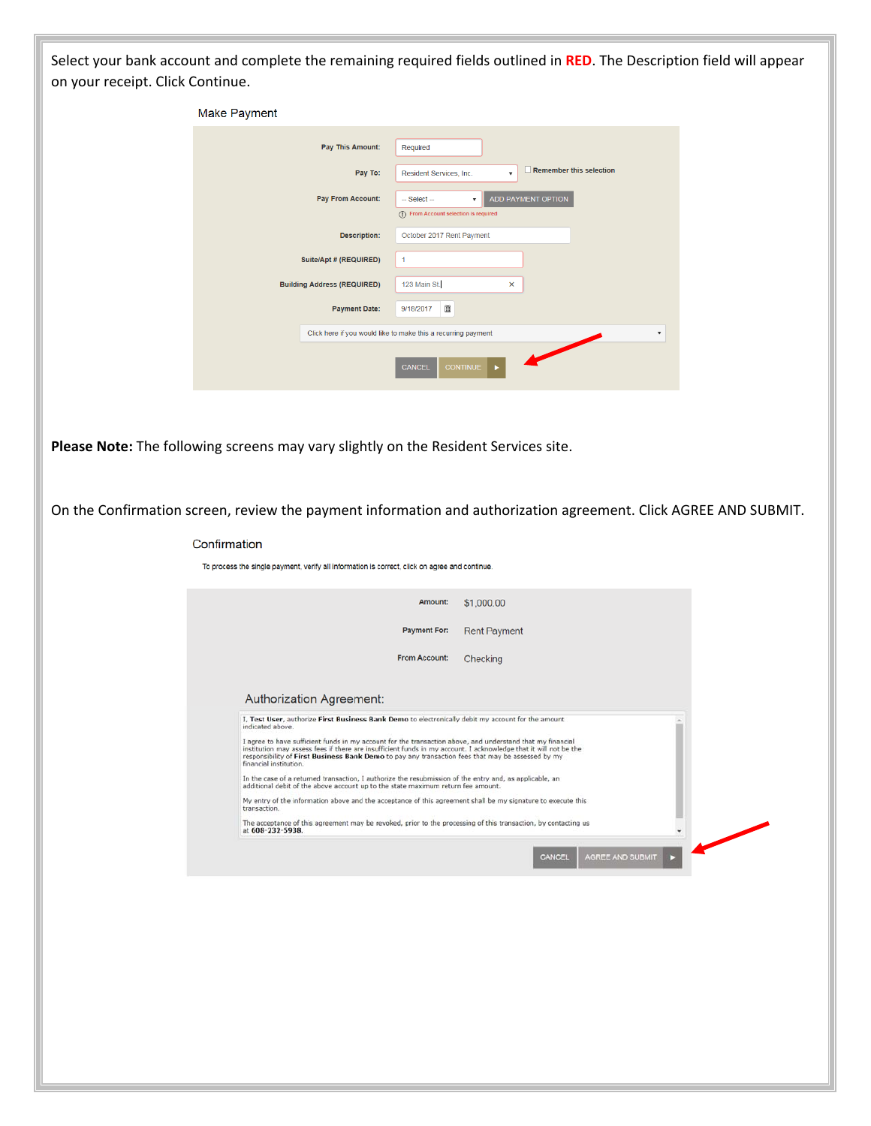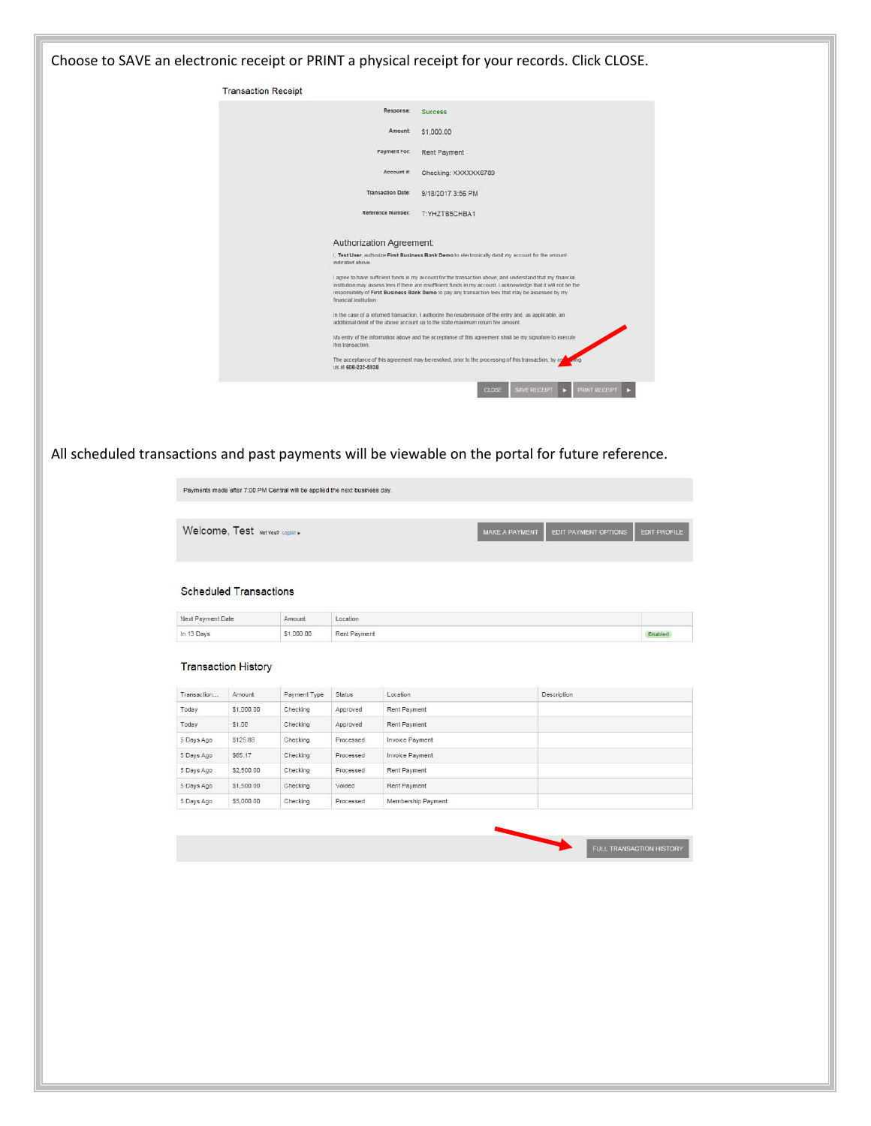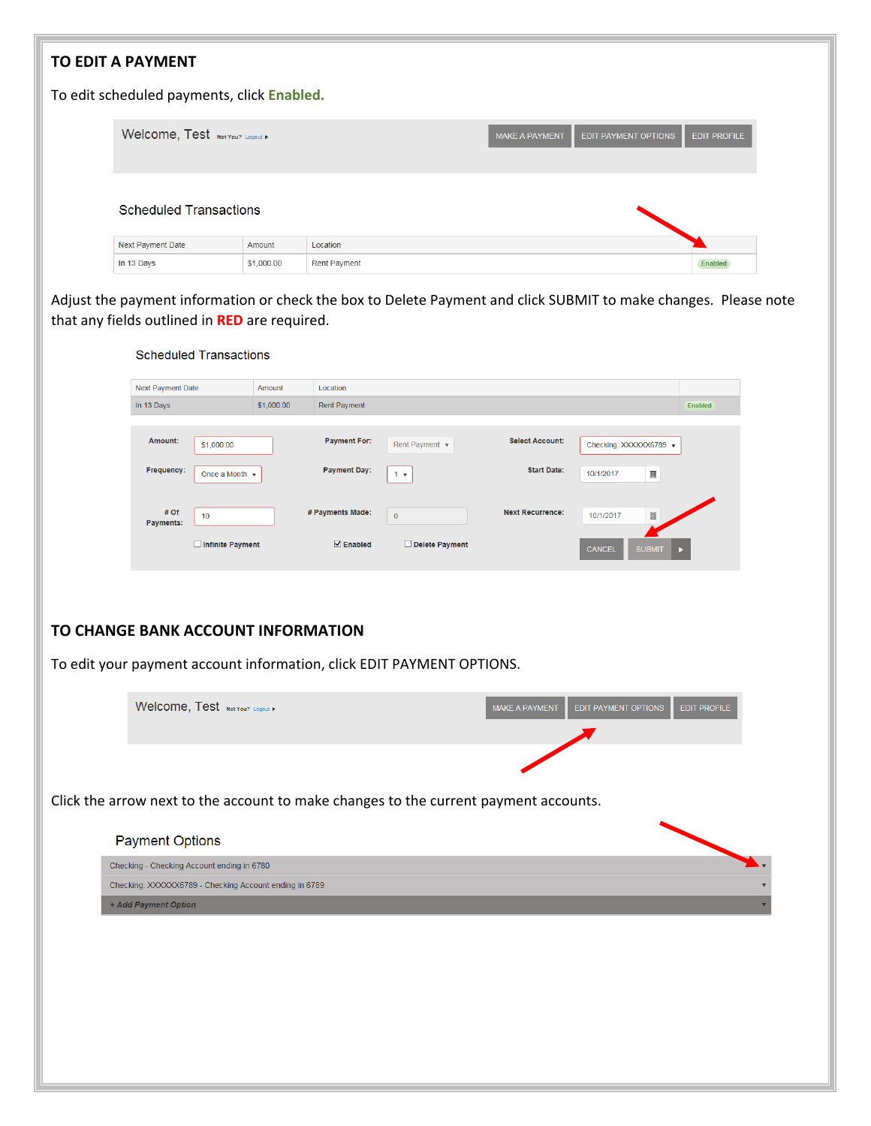| <b>TO EDIT A PAYMENT</b>                                                       |                  |                      |                          |                                                                                      |                         |                         |                                                                                                                 |
|--------------------------------------------------------------------------------|------------------|----------------------|--------------------------|--------------------------------------------------------------------------------------|-------------------------|-------------------------|-----------------------------------------------------------------------------------------------------------------|
| To edit scheduled payments, click Enabled.                                     |                  |                      |                          |                                                                                      |                         |                         |                                                                                                                 |
| Welcome, Test Not You? Logout >                                                |                  |                      |                          |                                                                                      | <b>MAKE A PAYMENT</b>   | EDIT PAYMENT OPTIONS    | <b>EDIT PROFILE</b>                                                                                             |
| <b>Scheduled Transactions</b>                                                  |                  |                      |                          |                                                                                      |                         |                         |                                                                                                                 |
| Next Payment Date                                                              |                  | Amount               | Location                 |                                                                                      |                         |                         |                                                                                                                 |
| In 13 Days                                                                     |                  | \$1,000.00           | Rent Payment             |                                                                                      |                         |                         | Enabled                                                                                                         |
| that any fields outlined in RED are required.<br><b>Scheduled Transactions</b> |                  |                      |                          |                                                                                      |                         |                         | Adjust the payment information or check the box to Delete Payment and click SUBMIT to make changes. Please note |
|                                                                                |                  |                      |                          |                                                                                      |                         |                         |                                                                                                                 |
| Next Payment Date<br>In 13 Days                                                |                  | Amount<br>\$1,000.00 | Location<br>Rent Payment |                                                                                      |                         |                         | <b>Enabled</b>                                                                                                  |
|                                                                                |                  |                      |                          |                                                                                      |                         |                         |                                                                                                                 |
| Amount:                                                                        | \$1,000.00       |                      | <b>Payment For:</b>      | Rent Payment v                                                                       | <b>Select Account:</b>  | Checking: XXXXXX6789    |                                                                                                                 |
| Frequency:                                                                     | Once a Month v   |                      | <b>Payment Day:</b>      | $1 - v$                                                                              | <b>Start Date:</b>      | $\boxplus$<br>10/1/2017 |                                                                                                                 |
| # Of<br>Payments:                                                              | 10               |                      | # Payments Made:         | $\mathbf 0$                                                                          | <b>Next Recurrence:</b> | 10/1/2017               |                                                                                                                 |
|                                                                                | Infinite Payment |                      | $\triangledown$ Enabled  | Delete Payment                                                                       |                         | CANCEL<br><b>SUBMIT</b> |                                                                                                                 |
| TO CHANGE BANK ACCOUNT INFORMATION                                             |                  |                      |                          | To edit your payment account information, click EDIT PAYMENT OPTIONS.                |                         |                         |                                                                                                                 |
| Welcome, Test Not You? Logout                                                  |                  |                      |                          |                                                                                      | <b>MAKE A PAYMENT</b>   | EDIT PAYMENT OPTIONS    | <b>EDIT PROFILE</b>                                                                                             |
|                                                                                |                  |                      |                          |                                                                                      |                         |                         |                                                                                                                 |
|                                                                                |                  |                      |                          | Click the arrow next to the account to make changes to the current payment accounts. |                         |                         |                                                                                                                 |
| <b>Payment Options</b>                                                         |                  |                      |                          |                                                                                      |                         |                         |                                                                                                                 |
| Checking - Checking Account ending in 6780                                     |                  |                      |                          |                                                                                      |                         |                         |                                                                                                                 |
| Checking: XXXXXX6789 - Checking Account ending in 6789                         |                  |                      |                          |                                                                                      |                         |                         |                                                                                                                 |
| + Add Payment Option                                                           |                  |                      |                          |                                                                                      |                         |                         |                                                                                                                 |
|                                                                                |                  |                      |                          |                                                                                      |                         |                         |                                                                                                                 |
|                                                                                |                  |                      |                          |                                                                                      |                         |                         |                                                                                                                 |
|                                                                                |                  |                      |                          |                                                                                      |                         |                         |                                                                                                                 |
|                                                                                |                  |                      |                          |                                                                                      |                         |                         |                                                                                                                 |
|                                                                                |                  |                      |                          |                                                                                      |                         |                         |                                                                                                                 |
|                                                                                |                  |                      |                          |                                                                                      |                         |                         |                                                                                                                 |